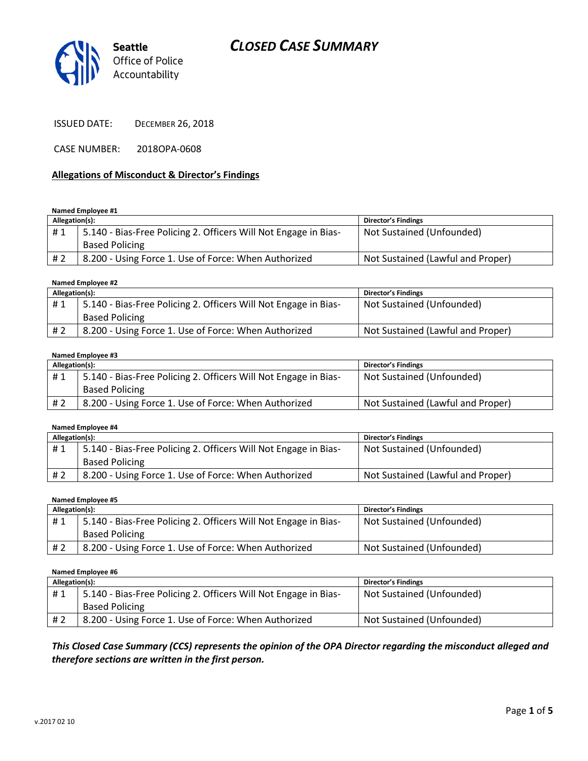

ISSUED DATE: DECEMBER 26, 2018

CASE NUMBER: 2018OPA-0608

#### **Allegations of Misconduct & Director's Findings**

#### **Named Employee #1**

| Allegation(s): |                                                                 | Director's Findings               |
|----------------|-----------------------------------------------------------------|-----------------------------------|
| #1             | 5.140 - Bias-Free Policing 2. Officers Will Not Engage in Bias- | Not Sustained (Unfounded)         |
|                | <b>Based Policing</b>                                           |                                   |
| # 2            | 8.200 - Using Force 1. Use of Force: When Authorized            | Not Sustained (Lawful and Proper) |

#### **Named Employee #2**

| Allegation(s): |                                                                 | <b>Director's Findings</b>        |
|----------------|-----------------------------------------------------------------|-----------------------------------|
| #1             | 5.140 - Bias-Free Policing 2. Officers Will Not Engage in Bias- | Not Sustained (Unfounded)         |
|                | <b>Based Policing</b>                                           |                                   |
| #2             | 8.200 - Using Force 1. Use of Force: When Authorized            | Not Sustained (Lawful and Proper) |

#### **Named Employee #3**

| Allegation(s): |                                                                 | <b>Director's Findings</b>        |
|----------------|-----------------------------------------------------------------|-----------------------------------|
| #1             | 5.140 - Bias-Free Policing 2. Officers Will Not Engage in Bias- | Not Sustained (Unfounded)         |
|                | <b>Based Policing</b>                                           |                                   |
| # 2            | 8.200 - Using Force 1. Use of Force: When Authorized            | Not Sustained (Lawful and Proper) |

#### **Named Employee #4**

| Allegation(s): |                                                                 | <b>Director's Findings</b>        |
|----------------|-----------------------------------------------------------------|-----------------------------------|
| #1             | 5.140 - Bias-Free Policing 2. Officers Will Not Engage in Bias- | Not Sustained (Unfounded)         |
|                | <b>Based Policing</b>                                           |                                   |
| # 2            | 8.200 - Using Force 1. Use of Force: When Authorized            | Not Sustained (Lawful and Proper) |

#### **Named Employee #5**

| Allegation(s): |                                                                 | Director's Findings       |
|----------------|-----------------------------------------------------------------|---------------------------|
| #1             | 5.140 - Bias-Free Policing 2. Officers Will Not Engage in Bias- | Not Sustained (Unfounded) |
|                | <b>Based Policing</b>                                           |                           |
| #2             | 8.200 - Using Force 1. Use of Force: When Authorized            | Not Sustained (Unfounded) |

**Named Employee #6**

| Allegation(s): |                                                                 | <b>Director's Findings</b> |
|----------------|-----------------------------------------------------------------|----------------------------|
| #1             | 5.140 - Bias-Free Policing 2. Officers Will Not Engage in Bias- | Not Sustained (Unfounded)  |
|                | <b>Based Policing</b>                                           |                            |
| # 2            | 8.200 - Using Force 1. Use of Force: When Authorized            | Not Sustained (Unfounded)  |

#### *This Closed Case Summary (CCS) represents the opinion of the OPA Director regarding the misconduct alleged and therefore sections are written in the first person.*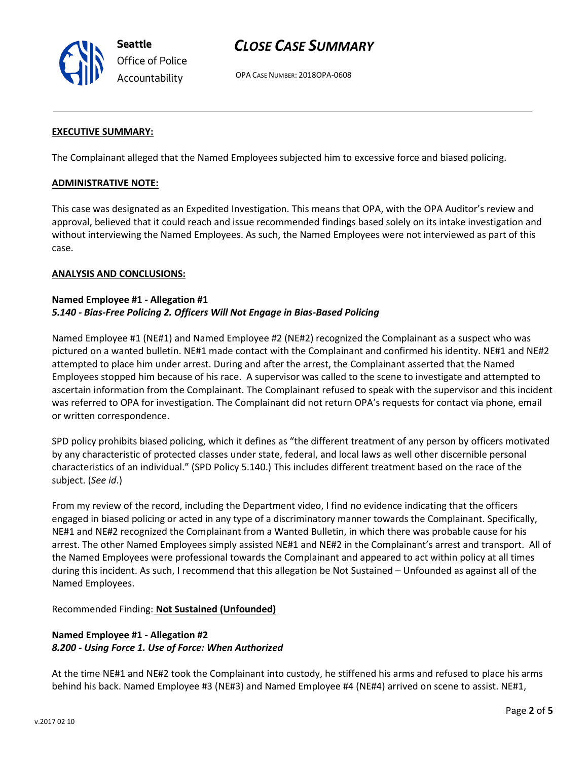

OPA CASE NUMBER: 2018OPA-0608

#### **EXECUTIVE SUMMARY:**

The Complainant alleged that the Named Employees subjected him to excessive force and biased policing.

#### **ADMINISTRATIVE NOTE:**

This case was designated as an Expedited Investigation. This means that OPA, with the OPA Auditor's review and approval, believed that it could reach and issue recommended findings based solely on its intake investigation and without interviewing the Named Employees. As such, the Named Employees were not interviewed as part of this case.

#### **ANALYSIS AND CONCLUSIONS:**

#### **Named Employee #1 - Allegation #1** *5.140 - Bias-Free Policing 2. Officers Will Not Engage in Bias-Based Policing*

Named Employee #1 (NE#1) and Named Employee #2 (NE#2) recognized the Complainant as a suspect who was pictured on a wanted bulletin. NE#1 made contact with the Complainant and confirmed his identity. NE#1 and NE#2 attempted to place him under arrest. During and after the arrest, the Complainant asserted that the Named Employees stopped him because of his race. A supervisor was called to the scene to investigate and attempted to ascertain information from the Complainant. The Complainant refused to speak with the supervisor and this incident was referred to OPA for investigation. The Complainant did not return OPA's requests for contact via phone, email or written correspondence.

SPD policy prohibits biased policing, which it defines as "the different treatment of any person by officers motivated by any characteristic of protected classes under state, federal, and local laws as well other discernible personal characteristics of an individual." (SPD Policy 5.140.) This includes different treatment based on the race of the subject. (*See id*.)

From my review of the record, including the Department video, I find no evidence indicating that the officers engaged in biased policing or acted in any type of a discriminatory manner towards the Complainant. Specifically, NE#1 and NE#2 recognized the Complainant from a Wanted Bulletin, in which there was probable cause for his arrest. The other Named Employees simply assisted NE#1 and NE#2 in the Complainant's arrest and transport. All of the Named Employees were professional towards the Complainant and appeared to act within policy at all times during this incident. As such, I recommend that this allegation be Not Sustained – Unfounded as against all of the Named Employees.

Recommended Finding: **Not Sustained (Unfounded)**

# **Named Employee #1 - Allegation #2** *8.200 - Using Force 1. Use of Force: When Authorized*

At the time NE#1 and NE#2 took the Complainant into custody, he stiffened his arms and refused to place his arms behind his back. Named Employee #3 (NE#3) and Named Employee #4 (NE#4) arrived on scene to assist. NE#1,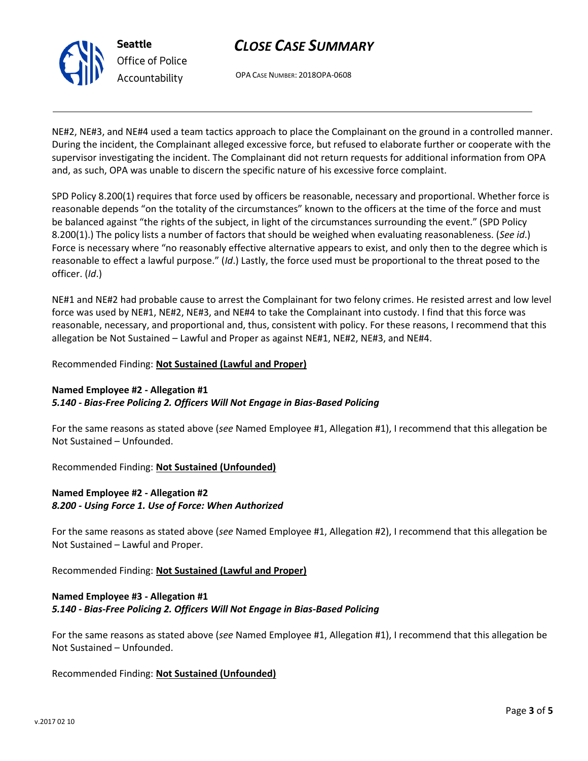

OPA CASE NUMBER: 2018OPA-0608

NE#2, NE#3, and NE#4 used a team tactics approach to place the Complainant on the ground in a controlled manner. During the incident, the Complainant alleged excessive force, but refused to elaborate further or cooperate with the supervisor investigating the incident. The Complainant did not return requests for additional information from OPA and, as such, OPA was unable to discern the specific nature of his excessive force complaint.

SPD Policy 8.200(1) requires that force used by officers be reasonable, necessary and proportional. Whether force is reasonable depends "on the totality of the circumstances" known to the officers at the time of the force and must be balanced against "the rights of the subject, in light of the circumstances surrounding the event." (SPD Policy 8.200(1).) The policy lists a number of factors that should be weighed when evaluating reasonableness. (*See id*.) Force is necessary where "no reasonably effective alternative appears to exist, and only then to the degree which is reasonable to effect a lawful purpose." (*Id*.) Lastly, the force used must be proportional to the threat posed to the officer. (*Id*.)

NE#1 and NE#2 had probable cause to arrest the Complainant for two felony crimes. He resisted arrest and low level force was used by NE#1, NE#2, NE#3, and NE#4 to take the Complainant into custody. I find that this force was reasonable, necessary, and proportional and, thus, consistent with policy. For these reasons, I recommend that this allegation be Not Sustained – Lawful and Proper as against NE#1, NE#2, NE#3, and NE#4.

Recommended Finding: **Not Sustained (Lawful and Proper)**

# **Named Employee #2 - Allegation #1** *5.140 - Bias-Free Policing 2. Officers Will Not Engage in Bias-Based Policing*

For the same reasons as stated above (*see* Named Employee #1, Allegation #1), I recommend that this allegation be Not Sustained – Unfounded.

Recommended Finding: **Not Sustained (Unfounded)**

# **Named Employee #2 - Allegation #2** *8.200 - Using Force 1. Use of Force: When Authorized*

For the same reasons as stated above (*see* Named Employee #1, Allegation #2), I recommend that this allegation be Not Sustained – Lawful and Proper.

Recommended Finding: **Not Sustained (Lawful and Proper)**

## **Named Employee #3 - Allegation #1** *5.140 - Bias-Free Policing 2. Officers Will Not Engage in Bias-Based Policing*

For the same reasons as stated above (*see* Named Employee #1, Allegation #1), I recommend that this allegation be Not Sustained – Unfounded.

Recommended Finding: **Not Sustained (Unfounded)**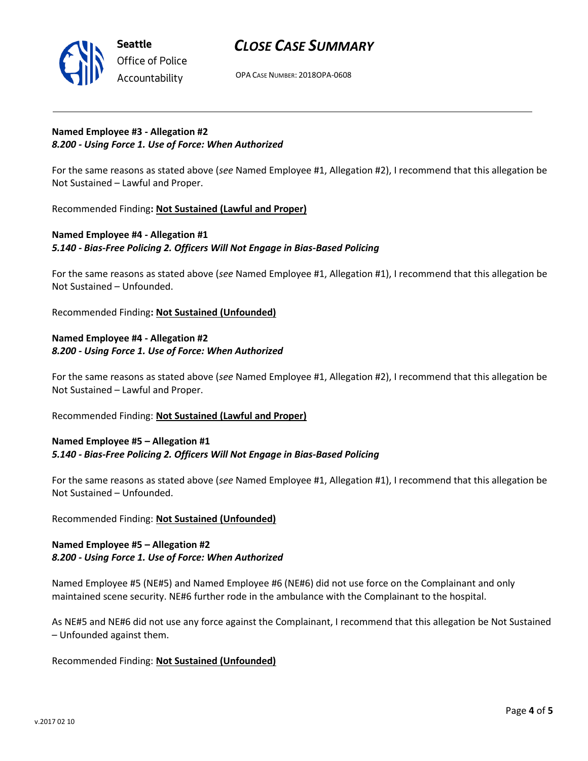

OPA CASE NUMBER: 2018OPA-0608

#### **Named Employee #3 - Allegation #2** *8.200 - Using Force 1. Use of Force: When Authorized*

For the same reasons as stated above (*see* Named Employee #1, Allegation #2), I recommend that this allegation be Not Sustained – Lawful and Proper.

Recommended Finding**: Not Sustained (Lawful and Proper)**

## **Named Employee #4 - Allegation #1** *5.140 - Bias-Free Policing 2. Officers Will Not Engage in Bias-Based Policing*

For the same reasons as stated above (*see* Named Employee #1, Allegation #1), I recommend that this allegation be Not Sustained – Unfounded.

Recommended Finding**: Not Sustained (Unfounded)**

## **Named Employee #4 - Allegation #2** *8.200 - Using Force 1. Use of Force: When Authorized*

For the same reasons as stated above (*see* Named Employee #1, Allegation #2), I recommend that this allegation be Not Sustained – Lawful and Proper.

## Recommended Finding: **Not Sustained (Lawful and Proper)**

#### **Named Employee #5 – Allegation #1** *5.140 - Bias-Free Policing 2. Officers Will Not Engage in Bias-Based Policing*

For the same reasons as stated above (*see* Named Employee #1, Allegation #1), I recommend that this allegation be Not Sustained – Unfounded.

#### Recommended Finding: **Not Sustained (Unfounded)**

#### **Named Employee #5 – Allegation #2** *8.200 - Using Force 1. Use of Force: When Authorized*

Named Employee #5 (NE#5) and Named Employee #6 (NE#6) did not use force on the Complainant and only maintained scene security. NE#6 further rode in the ambulance with the Complainant to the hospital.

As NE#5 and NE#6 did not use any force against the Complainant, I recommend that this allegation be Not Sustained – Unfounded against them.

## Recommended Finding: **Not Sustained (Unfounded)**